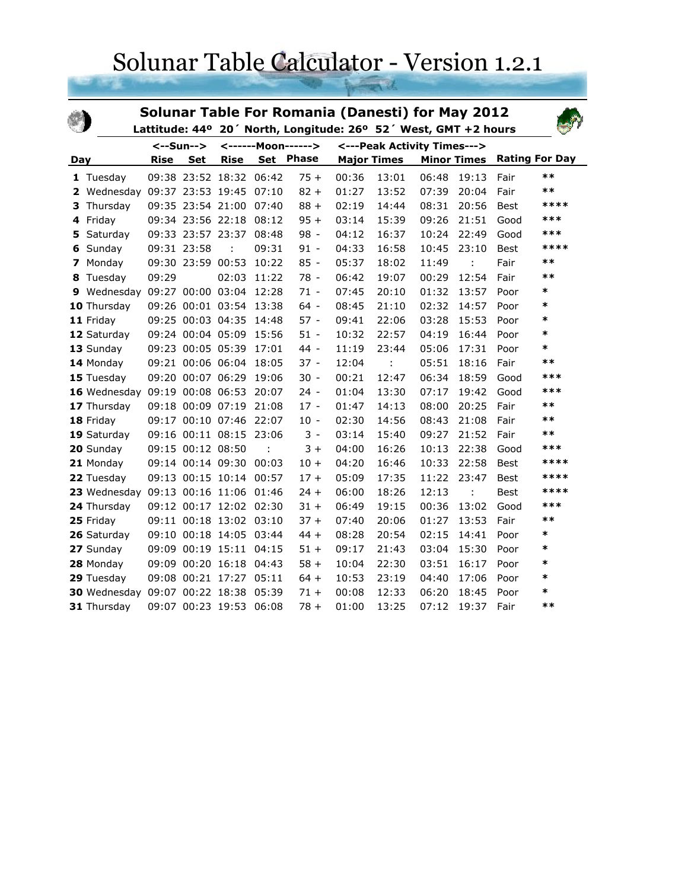## Solunar Table Calculator - Version 1.2.1

| <b>Solunar Table For Romania (Danesti) for May 2012</b><br>Lattitude: 44° 20' North, Longitude: 26° 52' West, GMT +2 hours |              |             |                   |                         |       |                             |                    |       |       |                      |             |                       |
|----------------------------------------------------------------------------------------------------------------------------|--------------|-------------|-------------------|-------------------------|-------|-----------------------------|--------------------|-------|-------|----------------------|-------------|-----------------------|
|                                                                                                                            |              | <--Sun-->   |                   | <------Moon------>      |       | <---Peak Activity Times---> |                    |       |       |                      |             |                       |
| Day                                                                                                                        |              | <b>Rise</b> | <b>Set</b>        | <b>Rise</b>             |       | Set Phase                   | <b>Major Times</b> |       |       | <b>Minor Times</b>   |             | <b>Rating For Day</b> |
|                                                                                                                            | 1 Tuesday    |             |                   | 09:38 23:52 18:32       | 06:42 | $75+$                       | 00:36              | 13:01 | 06:48 | 19:13                | Fair        | $**$                  |
|                                                                                                                            | 2 Wednesday  |             |                   | 09:37 23:53 19:45       | 07:10 | $82 +$                      | 01:27              | 13:52 | 07:39 | 20:04                | Fair        | $**$                  |
| 3                                                                                                                          | Thursday     |             | 09:35 23:54 21:00 |                         | 07:40 | $88 +$                      | 02:19              | 14:44 | 08:31 | 20:56                | <b>Best</b> | ****                  |
|                                                                                                                            | 4 Friday     |             |                   | 09:34 23:56 22:18       | 08:12 | $95 +$                      | 03:14              | 15:39 | 09:26 | 21:51                | Good        | ***                   |
| 5                                                                                                                          | Saturday     |             |                   | 09:33 23:57 23:37       | 08:48 | $98 -$                      | 04:12              | 16:37 | 10:24 | 22:49                | Good        | ***                   |
| 6                                                                                                                          | Sunday       |             | 09:31 23:58       | ÷                       | 09:31 | $91 -$                      | 04:33              | 16:58 | 10:45 | 23:10                | Best        | ****                  |
| 7                                                                                                                          | Monday       |             | 09:30 23:59 00:53 |                         | 10:22 | $85 -$                      | 05:37              | 18:02 | 11:49 | $\ddot{\phantom{a}}$ | Fair        | $***$                 |
|                                                                                                                            | 8 Tuesday    | 09:29       |                   | 02:03                   | 11:22 | 78 -                        | 06:42              | 19:07 | 00:29 | 12:54                | Fair        | $**$                  |
|                                                                                                                            | 9 Wednesday  |             |                   | 09:27 00:00 03:04       | 12:28 | $71 -$                      | 07:45              | 20:10 | 01:32 | 13:57                | Poor        | $\ast$                |
|                                                                                                                            | 10 Thursday  |             |                   | 09:26 00:01 03:54       | 13:38 | $64 -$                      | 08:45              | 21:10 | 02:32 | 14:57                | Poor        | $\ast$                |
|                                                                                                                            | 11 Friday    |             | 09:25 00:03 04:35 |                         | 14:48 | 57 -                        | 09:41              | 22:06 | 03:28 | 15:53                | Poor        | $\ast$                |
|                                                                                                                            | 12 Saturday  |             | 09:24 00:04 05:09 |                         | 15:56 | $51 -$                      | 10:32              | 22:57 | 04:19 | 16:44                | Poor        | $\ast$                |
|                                                                                                                            | 13 Sunday    |             | 09:23 00:05 05:39 |                         | 17:01 | 44 -                        | 11:19              | 23:44 | 05:06 | 17:31                | Poor        | *                     |
|                                                                                                                            | 14 Monday    |             | 09:21 00:06 06:04 |                         | 18:05 | $37 -$                      | 12:04              | ÷     | 05:51 | 18:16                | Fair        | $**$                  |
|                                                                                                                            | 15 Tuesday   |             | 09:20 00:07 06:29 |                         | 19:06 | $30 -$                      | 00:21              | 12:47 | 06:34 | 18:59                | Good        | ***                   |
|                                                                                                                            | 16 Wednesday |             | 09:19 00:08 06:53 |                         | 20:07 | $24 -$                      | 01:04              | 13:30 | 07:17 | 19:42                | Good        | ***                   |
|                                                                                                                            | 17 Thursday  |             |                   | 09:18 00:09 07:19       | 21:08 | $17 -$                      | 01:47              | 14:13 | 08:00 | 20:25                | Fair        | $***$                 |
|                                                                                                                            | 18 Friday    |             |                   | 09:17 00:10 07:46       | 22:07 | $10 -$                      | 02:30              | 14:56 | 08:43 | 21:08                | Fair        | $***$                 |
|                                                                                                                            | 19 Saturday  |             |                   | 09:16 00:11 08:15 23:06 |       | $3 -$                       | 03:14              | 15:40 | 09:27 | 21:52                | Fair        | $***$                 |
|                                                                                                                            | 20 Sunday    |             | 09:15 00:12 08:50 |                         |       | $3+$                        | 04:00              | 16:26 | 10:13 | 22:38                | Good        | ***                   |
|                                                                                                                            | 21 Monday    |             | 09:14 00:14 09:30 |                         | 00:03 | $10 +$                      | 04:20              | 16:46 | 10:33 | 22:58                | Best        | ****                  |
|                                                                                                                            | 22 Tuesday   |             |                   | 09:13 00:15 10:14 00:57 |       | $17+$                       | 05:09              | 17:35 | 11:22 | 23:47                | <b>Best</b> | ****                  |
|                                                                                                                            | 23 Wednesday |             |                   | 09:13 00:16 11:06 01:46 |       | $24 +$                      | 06:00              | 18:26 | 12:13 |                      | Best        | ****                  |
|                                                                                                                            | 24 Thursday  |             |                   | 09:12 00:17 12:02 02:30 |       | $31 +$                      | 06:49              | 19:15 | 00:36 | 13:02                | Good        | ***                   |
|                                                                                                                            | 25 Friday    |             |                   | 09:11 00:18 13:02 03:10 |       | $37 +$                      | 07:40              | 20:06 | 01:27 | 13:53                | Fair        | $***$                 |
|                                                                                                                            | 26 Saturday  |             |                   | 09:10 00:18 14:05 03:44 |       | $44 +$                      | 08:28              | 20:54 | 02:15 | 14:41                | Poor        | *                     |
|                                                                                                                            | 27 Sunday    |             |                   | 09:09 00:19 15:11 04:15 |       | $51 +$                      | 09:17              | 21:43 | 03:04 | 15:30                | Poor        | $\ast$                |
|                                                                                                                            | 28 Monday    |             |                   | 09:09 00:20 16:18 04:43 |       | $58 +$                      | 10:04              | 22:30 | 03:51 | 16:17                | Poor        | *                     |
|                                                                                                                            | 29 Tuesday   |             |                   | 09:08 00:21 17:27 05:11 |       | $64 +$                      | 10:53              | 23:19 | 04:40 | 17:06                | Poor        | $\ast$                |
|                                                                                                                            | 30 Wednesday |             |                   | 09:07 00:22 18:38       | 05:39 | $71 +$                      | 00:08              | 12:33 | 06:20 | 18:45                | Poor        | $\ast$                |
|                                                                                                                            | 31 Thursday  |             | 09:07 00:23 19:53 |                         | 06:08 | $78 +$                      | 01:00              | 13:25 | 07:12 | 19:37                | Fair        | $***$                 |